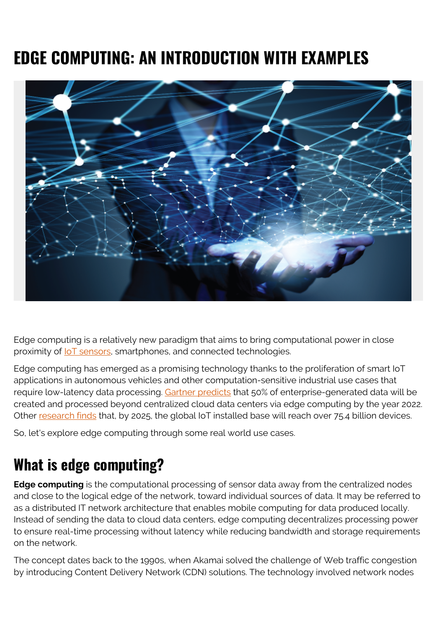# **EDGE COMPUTING: AN INTRODUCTION WITH EXAMPLES**



Edge computing is a relatively new paradigm that aims to bring computational power in close proximity of [IoT sensors,](https://blogs.bmc.com/blogs/iot-internet-of-things/) smartphones, and connected technologies.

Edge computing has emerged as a promising technology thanks to the proliferation of smart IoT applications in autonomous vehicles and other computation-sensitive industrial use cases that require low-latency data processing. [Gartner predicts](https://www.gartner.com/smarterwithgartner/what-edge-computing-means-for-infrastructure-and-operations-leaders/) that 50% of enterprise-generated data will be created and processed beyond centralized cloud data centers via edge computing by the year 2022. Other [research finds](https://www.forbes.com/sites/louiscolumbus/2017/12/10/2017-roundup-of-internet-of-things-forecasts/#4b8d30cb1480) that, by 2025, the global IoT installed base will reach over 75.4 billion devices.

So, let's explore edge computing through some real world use cases.

## **What is edge computing?**

**Edge computing** is the computational processing of sensor data away from the centralized nodes and close to the logical edge of the network, toward individual sources of data. It may be referred to as a distributed IT network architecture that enables mobile computing for data produced locally. Instead of sending the data to cloud data centers, edge computing decentralizes processing power to ensure real-time processing without latency while reducing bandwidth and storage requirements on the network.

The concept dates back to the 1990s, when Akamai solved the challenge of Web traffic congestion by introducing Content Delivery Network (CDN) solutions. The technology involved network nodes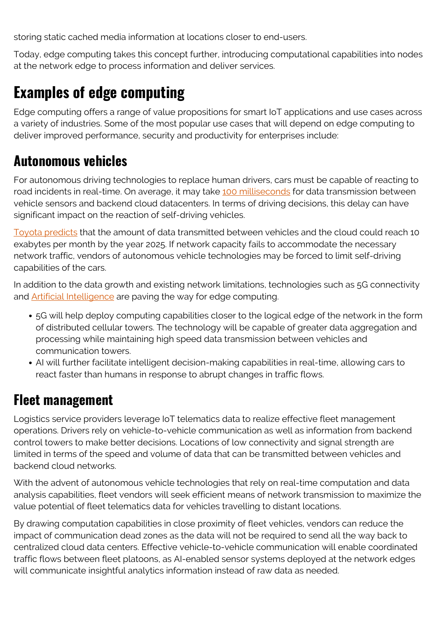storing static cached media information at locations closer to end-users.

Today, edge computing takes this concept further, introducing computational capabilities into nodes at the network edge to process information and deliver services.

### **Examples of edge computing**

Edge computing offers a range of value propositions for smart IoT applications and use cases across a variety of industries. Some of the most popular use cases that will depend on edge computing to deliver improved performance, security and productivity for enterprises include:

#### **Autonomous vehicles**

For autonomous driving technologies to replace human drivers, cars must be capable of reacting to road incidents in real-time. On average, it may take [100 milliseconds](https://www.wired.com/story/its-time-to-think-beyond-cloud-computing/) for data transmission between vehicle sensors and backend cloud datacenters. In terms of driving decisions, this delay can have significant impact on the reaction of self-driving vehicles.

[Toyota predicts](https://newsroom.toyota.co.jp/en/detail/18135029/) that the amount of data transmitted between vehicles and the cloud could reach 10 exabytes per month by the year 2025. If network capacity fails to accommodate the necessary network traffic, vendors of autonomous vehicle technologies may be forced to limit self-driving capabilities of the cars.

In addition to the data growth and existing network limitations, technologies such as 5G connectivity and **Artificial Intelligence** are paving the way for edge computing.

- 5G will help deploy computing capabilities closer to the logical edge of the network in the form of distributed cellular towers. The technology will be capable of greater data aggregation and processing while maintaining high speed data transmission between vehicles and communication towers.
- AI will further facilitate intelligent decision-making capabilities in real-time, allowing cars to react faster than humans in response to abrupt changes in traffic flows.

#### **Fleet management**

Logistics service providers leverage IoT telematics data to realize effective fleet management operations. Drivers rely on vehicle-to-vehicle communication as well as information from backend control towers to make better decisions. Locations of low connectivity and signal strength are limited in terms of the speed and volume of data that can be transmitted between vehicles and backend cloud networks.

With the advent of autonomous vehicle technologies that rely on real-time computation and data analysis capabilities, fleet vendors will seek efficient means of network transmission to maximize the value potential of fleet telematics data for vehicles travelling to distant locations.

By drawing computation capabilities in close proximity of fleet vehicles, vendors can reduce the impact of communication dead zones as the data will not be required to send all the way back to centralized cloud data centers. Effective vehicle-to-vehicle communication will enable coordinated traffic flows between fleet platoons, as AI-enabled sensor systems deployed at the network edges will communicate insightful analytics information instead of raw data as needed.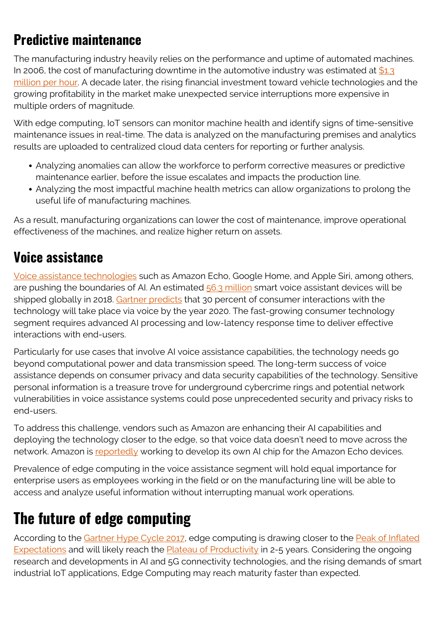### **Predictive maintenance**

The manufacturing industry heavily relies on the performance and uptime of automated machines. In 2006, the cost of manufacturing downtime in the automotive industry was estimated at  $$1.3$ [million per hour.](https://www.slideshare.net/emaintX3/costs-of-downtime-in-the-manufacturing-industry) A decade later, the rising financial investment toward vehicle technologies and the growing profitability in the market make unexpected service interruptions more expensive in multiple orders of magnitude.

With edge computing, IoT sensors can monitor machine health and identify signs of time-sensitive maintenance issues in real-time. The data is analyzed on the manufacturing premises and analytics results are uploaded to centralized cloud data centers for reporting or further analysis.

- Analyzing anomalies can allow the workforce to perform corrective measures or predictive maintenance earlier, before the issue escalates and impacts the production line.
- Analyzing the most impactful machine health metrics can allow organizations to prolong the useful life of manufacturing machines.

As a result, manufacturing organizations can lower the cost of maintenance, improve operational effectiveness of the machines, and realize higher return on assets.

#### **Voice assistance**

[Voice assistance technologies](https://www.bmc.com/blogs/voice-tech-conferences/) such as Amazon Echo, Google Home, and Apple Siri, among others, are pushing the boundaries of AI. An estimated [56.3 million](https://voicebot.ai/2018/01/07/56-million-smart-speaker-sales-2018-says-canalys/) smart voice assistant devices will be shipped globally in 2018. [Gartner predicts](https://www.gartner.com/doc/3021226/market-trends-voice-ui-consumer) that 30 percent of consumer interactions with the technology will take place via voice by the year 2020. The fast-growing consumer technology segment requires advanced AI processing and low-latency response time to deliver effective interactions with end-users.

Particularly for use cases that involve AI voice assistance capabilities, the technology needs go beyond computational power and data transmission speed. The long-term success of voice assistance depends on consumer privacy and data security capabilities of the technology. Sensitive personal information is a treasure trove for underground cybercrime rings and potential network vulnerabilities in voice assistance systems could pose unprecedented security and privacy risks to end-users.

To address this challenge, vendors such as Amazon are enhancing their AI capabilities and deploying the technology closer to the edge, so that voice data doesn't need to move across the network. Amazon is [reportedly](https://techcrunch.com/2018/02/12/amazon-may-be-developing-ai-chips-for-alexa/) working to develop its own AI chip for the Amazon Echo devices.

Prevalence of edge computing in the voice assistance segment will hold equal importance for enterprise users as employees working in the field or on the manufacturing line will be able to access and analyze useful information without interrupting manual work operations.

### **The future of edge computing**

According to the [Gartner Hype Cycle 2017,](https://www.gartner.com/smarterwithgartner/top-trends-in-the-gartner-hype-cycle-for-emerging-technologies-2017/) edge computing is drawing closer to the [Peak of Inflated](https://blogs.bmc.com/blogs/hype-cycle-peak-of-inflated-expectations/) [Expectations](https://blogs.bmc.com/blogs/hype-cycle-peak-of-inflated-expectations/) and will likely reach the [Plateau of Productivity](https://blogs.bmc.com/blogs/hype-cycle-plateau-of-productivity) in 2-5 years. Considering the ongoing research and developments in AI and 5G connectivity technologies, and the rising demands of smart industrial IoT applications, Edge Computing may reach maturity faster than expected.